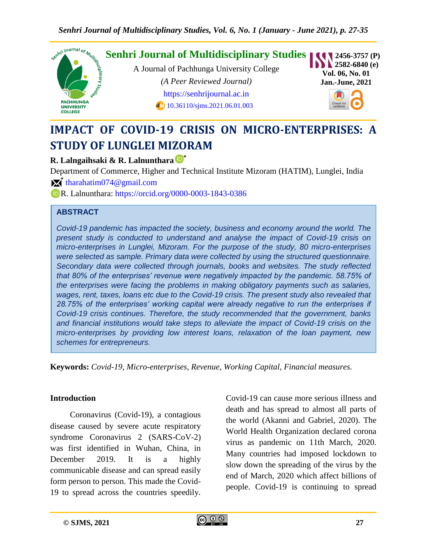

# **IMPACT OF COVID-19 CRISIS ON MICRO-ENTERPRISES: A STUDY OF LUNGLEI MIZORAM**

## **R. Lalngaihsaki & R. Lalnunthara \***

Department of Commerce, Higher and Technical Institute Mizoram (HATIM), Lunglei, India

**\*** [tharahatim074@gmail.com](mailto:tharahatim074@gmail.com)

R. Lalnunthara:<https://orcid.org/0000-0003-1843-0386>

## **ABSTRACT**

*Covid-19 pandemic has impacted the society, business and economy around the world. The present study is conducted to understand and analyse the impact of Covid-19 crisis on micro-enterprises in Lunglei, Mizoram. For the purpose of the study, 80 micro-enterprises were selected as sample. Primary data were collected by using the structured questionnaire. Secondary data were collected through journals, books and websites. The study reflected that 80% of the enterprises' revenue were negatively impacted by the pandemic. 58.75% of the enterprises were facing the problems in making obligatory payments such as salaries, wages, rent, taxes, loans etc due to the Covid-19 crisis. The present study also revealed that 28.75% of the enterprises' working capital were already negative to run the enterprises if Covid-19 crisis continues. Therefore, the study recommended that the government, banks and financial institutions would take steps to alleviate the impact of Covid-19 crisis on the micro-enterprises by providing low interest loans, relaxation of the loan payment, new schemes for entrepreneurs.*

**Keywords:** *Covid-19, Micro-enterprises, Revenue, Working Capital, Financial measures.*

#### **Introduction**

Coronavirus (Covid-19), a contagious disease caused by severe acute respiratory syndrome Coronavirus 2 (SARS-CoV-2) was first identified in Wuhan, China, in December 2019. It is a highly communicable disease and can spread easily form person to person. This made the Covid-19 to spread across the countries speedily.

Covid-19 can cause more serious illness and death and has spread to almost all parts of the world (Akanni and Gabriel, 2020). The World Health Organization declared corona virus as pandemic on 11th March, 2020. Many countries had imposed lockdown to slow down the spreading of the virus by the end of March, 2020 which affect billions of people. Covid-19 is continuing to spread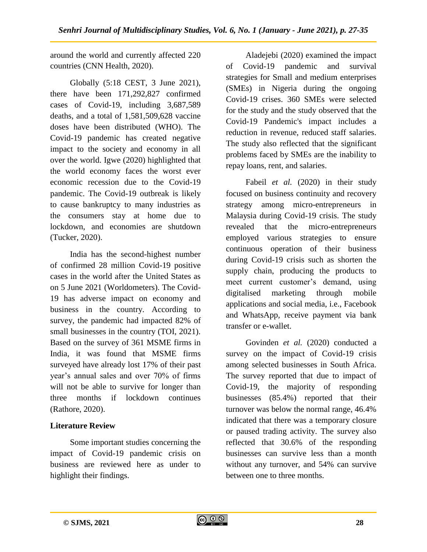around the world and currently affected 220 countries (CNN Health, 2020).

Globally (5:18 CEST, 3 June 2021), there have been 171,292,827 confirmed cases of Covid-19, including 3,687,589 deaths, and a total of 1,581,509,628 vaccine doses have been distributed (WHO). The Covid-19 pandemic has created negative impact to the society and economy in all over the world. Igwe (2020) highlighted that the world economy faces the worst ever economic recession due to the Covid-19 pandemic. The Covid-19 outbreak is likely to cause bankruptcy to many industries as the consumers stay at home due to lockdown, and economies are shutdown (Tucker, 2020).

India has the second-highest number of confirmed 28 million Covid-19 positive cases in the world after the United States as on 5 June 2021 (Worldometers). The Covid-19 has adverse impact on economy and business in the country. According to survey, the pandemic had impacted 82% of small businesses in the country (TOI, 2021). Based on the survey of 361 MSME firms in India, it was found that MSME firms surveyed have already lost 17% of their past year"s annual sales and over 70% of firms will not be able to survive for longer than three months if lockdown continues (Rathore, 2020).

# **Literature Review**

Some important studies concerning the impact of Covid-19 pandemic crisis on business are reviewed here as under to highlight their findings.

Aladejebi (2020) examined the impact of Covid-19 pandemic and survival strategies for Small and medium enterprises (SMEs) in Nigeria during the ongoing Covid-19 crises. 360 SMEs were selected for the study and the study observed that the Covid-19 Pandemic's impact includes a reduction in revenue, reduced staff salaries. The study also reflected that the significant problems faced by SMEs are the inability to repay loans, rent, and salaries.

Fabeil *et al.* (2020) in their study focused on business continuity and recovery strategy among micro-entrepreneurs in Malaysia during Covid-19 crisis. The study revealed that the micro-entrepreneurs employed various strategies to ensure continuous operation of their business during Covid-19 crisis such as shorten the supply chain, producing the products to meet current customer"s demand, using digitalised marketing through mobile applications and social media, i.e., Facebook and WhatsApp, receive payment via bank transfer or e-wallet.

Govinden *et al.* (2020) conducted a survey on the impact of Covid-19 crisis among selected businesses in South Africa. The survey reported that due to impact of Covid-19, the majority of responding businesses (85.4%) reported that their turnover was below the normal range, 46.4% indicated that there was a temporary closure or paused trading activity. The survey also reflected that 30.6% of the responding businesses can survive less than a month without any turnover, and 54% can survive between one to three months.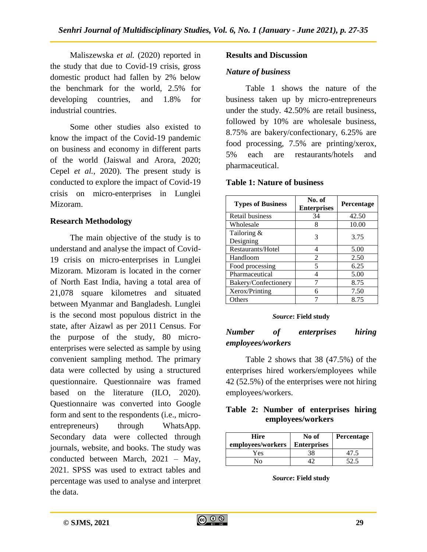Maliszewska *et al.* (2020) reported in the study that due to Covid-19 crisis, gross domestic product had fallen by 2% below the benchmark for the world, 2.5% for developing countries, and 1.8% for industrial countries.

Some other studies also existed to know the impact of the Covid-19 pandemic on business and economy in different parts of the world (Jaiswal and Arora, 2020; Cepel *et al.*, 2020). The present study is conducted to explore the impact of Covid-19 crisis on micro-enterprises in Lunglei Mizoram.

# **Research Methodology**

The main objective of the study is to understand and analyse the impact of Covid-19 crisis on micro-enterprises in Lunglei Mizoram. Mizoram is located in the corner of North East India, having a total area of 21,078 square kilometres and situated between Myanmar and Bangladesh. Lunglei is the second most populous district in the state, after Aizawl as per 2011 Census. For the purpose of the study, 80 microenterprises were selected as sample by using convenient sampling method. The primary data were collected by using a structured questionnaire. Questionnaire was framed based on the literature (ILO, 2020). Questionnaire was converted into Google form and sent to the respondents (i.e., microentrepreneurs) through WhatsApp. Secondary data were collected through journals, website, and books. The study was conducted between March, 2021 – May, 2021. SPSS was used to extract tables and percentage was used to analyse and interpret the data.

## **Results and Discussion**

## *Nature of business*

Table 1 shows the nature of the business taken up by micro-entrepreneurs under the study. 42.50% are retail business, followed by 10% are wholesale business, 8.75% are bakery/confectionary, 6.25% are food processing, 7.5% are printing/xerox, 5% each are restaurants/hotels and pharmaceutical.

## **Table 1: Nature of business**

| <b>Types of Business</b> | No. of<br><b>Enterprises</b> | <b>Percentage</b> |
|--------------------------|------------------------------|-------------------|
| Retail business          | 34                           | 42.50             |
| Wholesale                | 8                            | 10.00             |
| Tailoring &<br>Designing | 3                            | 3.75              |
| Restaurants/Hotel        | 4                            | 5.00              |
| Handloom                 | 2                            | 2.50              |
| Food processing          | 5                            | 6.25              |
| Pharmaceutical           | 4                            | 5.00              |
| Bakery/Confectionery     |                              | 8.75              |
| Xerox/Printing           | 6                            | 7.50              |
| Others                   |                              | 8.75              |

#### *Source***: Field study**

# *Number of enterprises hiring employees/workers*

Table 2 shows that 38 (47.5%) of the enterprises hired workers/employees while 42 (52.5%) of the enterprises were not hiring employees/workers.

## **Table 2: Number of enterprises hiring employees/workers**

| Hire<br>employees/workers | No of<br><b>Enterprises</b> | <b>Percentage</b> |
|---------------------------|-----------------------------|-------------------|
| Yes                       | 38                          | 47.5              |
| $N_{\Omega}$              |                             |                   |

*Source***: Field study**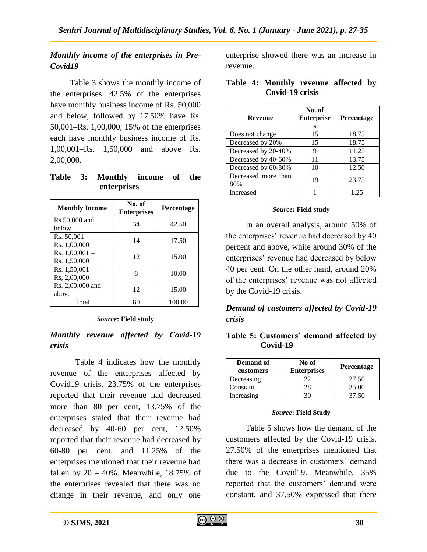# *Monthly income of the enterprises in Pre-Covid19*

Table 3 shows the monthly income of the enterprises. 42.5% of the enterprises have monthly business income of Rs. 50,000 and below, followed by 17.50% have Rs. 50,001–Rs. 1,00,000, 15% of the enterprises each have monthly business income of Rs. 1,00,001–Rs. 1,50,000 and above Rs. 2,00,000.

**Table 3: Monthly income of the enterprises**

| <b>Monthly Income</b>            | No. of<br><b>Enterprises</b> | <b>Percentage</b> |
|----------------------------------|------------------------------|-------------------|
| Rs 50,000 and<br>below           | 34                           | 42.50             |
| $Rs. 50,001 -$<br>Rs. 1,00,000   | 14                           | 17.50             |
| Rs. $1,00,001 -$<br>Rs. 1,50,000 | 12                           | 15.00             |
| Rs. $1,50,001 -$<br>Rs. 2,00,000 | 8                            | 10.00             |
| Rs. 2,00,000 and<br>above        | 12                           | 15.00             |
| Total                            | 80                           | 100.00            |

#### *Source***: Field study**

## *Monthly revenue affected by Covid-19 crisis*

Table 4 indicates how the monthly revenue of the enterprises affected by Covid19 crisis. 23.75% of the enterprises reported that their revenue had decreased more than 80 per cent, 13.75% of the enterprises stated that their revenue had decreased by 40-60 per cent, 12.50% reported that their revenue had decreased by 60-80 per cent, and 11.25% of the enterprises mentioned that their revenue had fallen by  $20 - 40\%$ . Meanwhile, 18.75% of the enterprises revealed that there was no change in their revenue, and only one

enterprise showed there was an increase in revenue.

| <b>Revenue</b>             | No. of<br><b>Enterprise</b><br>s | <b>Percentage</b> |
|----------------------------|----------------------------------|-------------------|
| Does not change            | 15                               | 18.75             |
| Decreased by 20%           | 15                               | 18.75             |
| Decreased by 20-40%        | 9                                | 11.25             |
| Decreased by 40-60%        | 11                               | 13.75             |
| Decreased by 60-80%        | 10                               | 12.50             |
| Decreased more than<br>80% | 19                               | 23.75             |
| Increased                  |                                  | 1.25              |

#### **Table 4: Monthly revenue affected by Covid-19 crisis**

#### *Source***: Field study**

In an overall analysis, around 50% of the enterprises' revenue had decreased by 40 percent and above, while around 30% of the enterprises' revenue had decreased by below 40 per cent. On the other hand, around 20% of the enterprises' revenue was not affected by the Covid-19 crisis.

# *Demand of customers affected by Covid-19 crisis*

## **Table 5: Customers' demand affected by Covid-19**

| <b>Demand of</b><br>customers | No of<br><b>Enterprises</b> | <b>Percentage</b> |
|-------------------------------|-----------------------------|-------------------|
| Decreasing                    | າາ                          | 27.50             |
| Constant                      | 28                          | 35.00             |
| Increasing                    |                             | 37.50             |

#### *Source***: Field Study**

Table 5 shows how the demand of the customers affected by the Covid-19 crisis. 27.50% of the enterprises mentioned that there was a decrease in customers' demand due to the Covid19. Meanwhile, 35% reported that the customers' demand were constant, and 37.50% expressed that there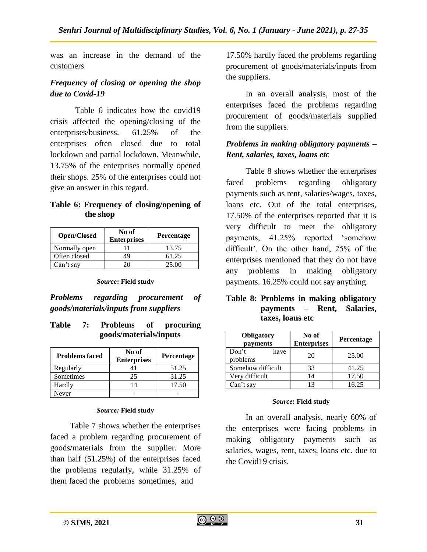was an increase in the demand of the customers

# *Frequency of closing or opening the shop due to Covid-19*

Table 6 indicates how the covid19 crisis affected the opening/closing of the enterprises/business. 61.25% of the enterprises often closed due to total lockdown and partial lockdown. Meanwhile, 13.75% of the enterprises normally opened their shops. 25% of the enterprises could not give an answer in this regard.

## **Table 6: Frequency of closing/opening of the shop**

| <b>Open/Closed</b> | No of<br><b>Enterprises</b> | <b>Percentage</b> |
|--------------------|-----------------------------|-------------------|
| Normally open      |                             | 13.75             |
| Often closed       | 49                          | 61.25             |
| Can't say          | 20                          | 25.00             |

#### *Source***: Field study**

*Problems regarding procurement of goods/materials/inputs from suppliers*

## **Table 7: Problems of procuring goods/materials/inputs**

| <b>Problems faced</b> | No of<br><b>Enterprises</b> | Percentage |
|-----------------------|-----------------------------|------------|
| Regularly             |                             | 51.25      |
| Sometimes             | 25                          | 31.25      |
| Hardly                | $\overline{4}$              | 17.50      |
| Never                 |                             |            |

#### *Source:* **Field study**

Table 7 shows whether the enterprises faced a problem regarding procurement of goods/materials from the supplier. More than half (51.25%) of the enterprises faced the problems regularly, while 31.25% of them faced the problems sometimes, and

17.50% hardly faced the problems regarding procurement of goods/materials/inputs from the suppliers.

In an overall analysis, most of the enterprises faced the problems regarding procurement of goods/materials supplied from the suppliers.

# *Problems in making obligatory payments – Rent, salaries, taxes, loans etc*

Table 8 shows whether the enterprises faced problems regarding obligatory payments such as rent, salaries/wages, taxes, loans etc. Out of the total enterprises, 17.50% of the enterprises reported that it is very difficult to meet the obligatory payments, 41.25% reported "somehow difficult". On the other hand, 25% of the enterprises mentioned that they do not have any problems in making obligatory payments. 16.25% could not say anything.

## **Table 8: Problems in making obligatory payments – Rent, Salaries, taxes, loans etc**

| Obligatory<br>payments    | No of<br><b>Enterprises</b> | Percentage |
|---------------------------|-----------------------------|------------|
| Don't<br>have<br>problems | 20                          | 25.00      |
| Somehow difficult         | 33                          | 41.25      |
| Very difficult            | 14                          | 17.50      |
| Can't say                 |                             | 16.25      |

#### *Source***: Field study**

In an overall analysis, nearly 60% of the enterprises were facing problems in making obligatory payments such as salaries, wages, rent, taxes, loans etc. due to the Covid19 crisis.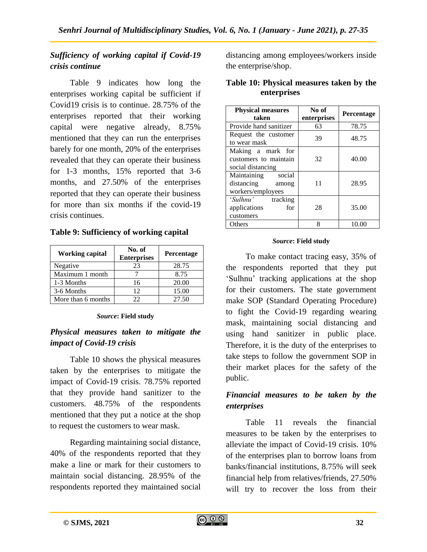# *Sufficiency of working capital if Covid-19 crisis continue*

Table 9 indicates how long the enterprises working capital be sufficient if Covid19 crisis is to continue. 28.75% of the enterprises reported that their working capital were negative already, 8.75% mentioned that they can run the enterprises barely for one month, 20% of the enterprises revealed that they can operate their business for 1-3 months, 15% reported that 3-6 months, and 27.50% of the enterprises reported that they can operate their business for more than six months if the covid-19 crisis continues.

## **Table 9: Sufficiency of working capital**

| Working capital    | No. of<br><b>Enterprises</b> | <b>Percentage</b> |
|--------------------|------------------------------|-------------------|
| Negative           | 23                           | 28.75             |
| Maximum 1 month    |                              | 8.75              |
| 1-3 Months         | 16                           | 20.00             |
| 3-6 Months         | 12                           | 15.00             |
| More than 6 months | 22                           | 27.50             |

#### *Source***: Field study**

# *Physical measures taken to mitigate the impact of Covid-19 crisis*

Table 10 shows the physical measures taken by the enterprises to mitigate the impact of Covid-19 crisis. 78.75% reported that they provide hand sanitizer to the customers. 48.75% of the respondents mentioned that they put a notice at the shop to request the customers to wear mask.

Regarding maintaining social distance, 40% of the respondents reported that they make a line or mark for their customers to maintain social distancing. 28.95% of the respondents reported they maintained social distancing among employees/workers inside the enterprise/shop.

| <b>Physical measures</b><br>taken                                 | No of<br>enterprises | <b>Percentage</b> |
|-------------------------------------------------------------------|----------------------|-------------------|
| Provide hand sanitizer                                            | 63                   | 78.75             |
| Request the customer<br>to wear mask                              | 39                   | 48.75             |
| Making a mark for<br>customers to maintain<br>social distancing   | 32                   | 40.00             |
| Maintaining<br>social<br>distancing<br>among<br>workers/employees | 11                   | 28.95             |
| 'Sulhnu'<br>tracking<br>applications<br>for<br>customers          | 28                   | 35.00             |
| Others                                                            | 8                    | 10.00             |

## **Table 10: Physical measures taken by the enterprises**

## *Source***: Field study**

To make contact tracing easy, 35% of the respondents reported that they put "Sulhnu" tracking applications at the shop for their customers. The state government make SOP (Standard Operating Procedure) to fight the Covid-19 regarding wearing mask, maintaining social distancing and using hand sanitizer in public place. Therefore, it is the duty of the enterprises to take steps to follow the government SOP in their market places for the safety of the public.

# *Financial measures to be taken by the enterprises*

Table 11 reveals the financial measures to be taken by the enterprises to alleviate the impact of Covid-19 crisis. 10% of the enterprises plan to borrow loans from banks/financial institutions, 8.75% will seek financial help from relatives/friends, 27.50% will try to recover the loss from their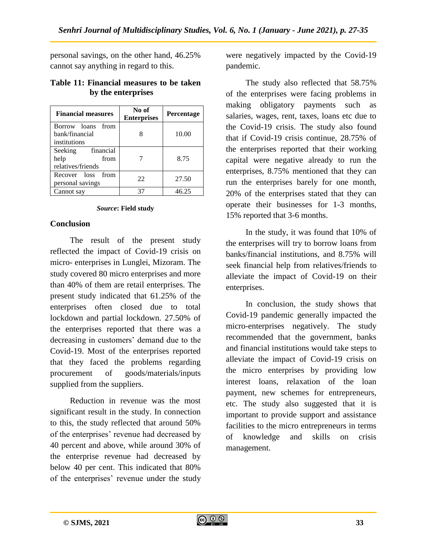personal savings, on the other hand, 46.25% cannot say anything in regard to this.

#### **Table 11: Financial measures to be taken by the enterprises**

| <b>Financial measures</b>                                 | No of<br><b>Enterprises</b> | <b>Percentage</b> |
|-----------------------------------------------------------|-----------------------------|-------------------|
| Borrow loans from<br>bank/financial<br>institutions       |                             | 10.00             |
| financial<br>Seeking<br>help<br>from<br>relatives/friends |                             | 8.75              |
| Recover loss from<br>personal savings                     | 22                          | 27.50             |
| Cannot say                                                | 37                          | 46.25             |

#### *Source***: Field study**

#### **Conclusion**

The result of the present study reflected the impact of Covid-19 crisis on micro- enterprises in Lunglei, Mizoram. The study covered 80 micro enterprises and more than 40% of them are retail enterprises. The present study indicated that 61.25% of the enterprises often closed due to total lockdown and partial lockdown. 27.50% of the enterprises reported that there was a decreasing in customers' demand due to the Covid-19. Most of the enterprises reported that they faced the problems regarding procurement of goods/materials/inputs supplied from the suppliers.

Reduction in revenue was the most significant result in the study. In connection to this, the study reflected that around 50% of the enterprises' revenue had decreased by 40 percent and above, while around 30% of the enterprise revenue had decreased by below 40 per cent. This indicated that 80% of the enterprises' revenue under the study

were negatively impacted by the Covid-19 pandemic.

The study also reflected that 58.75% of the enterprises were facing problems in making obligatory payments such as salaries, wages, rent, taxes, loans etc due to the Covid-19 crisis. The study also found that if Covid-19 crisis continue, 28.75% of the enterprises reported that their working capital were negative already to run the enterprises, 8.75% mentioned that they can run the enterprises barely for one month, 20% of the enterprises stated that they can operate their businesses for 1-3 months, 15% reported that 3-6 months.

In the study, it was found that 10% of the enterprises will try to borrow loans from banks/financial institutions, and 8.75% will seek financial help from relatives/friends to alleviate the impact of Covid-19 on their enterprises.

In conclusion, the study shows that Covid-19 pandemic generally impacted the micro-enterprises negatively. The study recommended that the government, banks and financial institutions would take steps to alleviate the impact of Covid-19 crisis on the micro enterprises by providing low interest loans, relaxation of the loan payment, new schemes for entrepreneurs, etc. The study also suggested that it is important to provide support and assistance facilities to the micro entrepreneurs in terms of knowledge and skills on crisis management.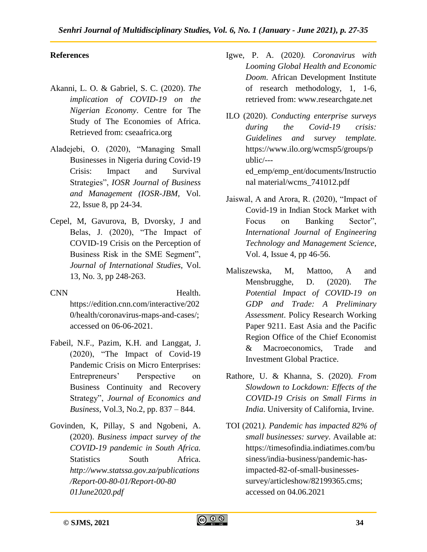# **References**

- Akanni, L. O. & Gabriel, S. C. (2020). *The implication of COVID-19 on the Nigerian Economy*. Centre for The Study of The Economies of Africa. Retrieved from: cseaafrica.org
- Aladejebi, O. (2020), "Managing Small Businesses in Nigeria during Covid-19 Crisis: Impact and Survival Strategies", *IOSR Journal of Business and Management (IOSR-JBM,* Vol. 22, Issue 8, pp 24-34.
- Cepel, M, Gavurova, B, Dvorsky, J and Belas, J. (2020), "The Impact of COVID-19 Crisis on the Perception of Business Risk in the SME Segment", *Journal of International Studies*, Vol. 13, No. 3, pp 248-263.
- CNN Health. [https://edition.cnn.com/interactive/202](https://edition.cnn.com/interactive/2020/health/coronavirus-maps-and-cases/) [0/health/coronavirus-maps-and-cases/;](https://edition.cnn.com/interactive/2020/health/coronavirus-maps-and-cases/) accessed on 06-06-2021.
- Fabeil, N.F., Pazim, K.H. and Langgat, J. (2020), "The Impact of Covid-19 Pandemic Crisis on Micro Enterprises: Entrepreneurs" Perspective on Business Continuity and Recovery Strategy", *Journal of Economics and Business*, Vol.3, No.2, pp. 837 – 844.
- Govinden, K, Pillay, S and Ngobeni, A. (2020). *Business impact survey of the COVID-19 pandemic in South Africa.*  Statistics South Africa. *[http://www.statssa.gov.za/publications](http://www.statssa.gov.za/publications/Report-00-80-01/Report-00-80%2001June2020.pdf) [/Report-00-80-01/Report-00-80](http://www.statssa.gov.za/publications/Report-00-80-01/Report-00-80%2001June2020.pdf) [01June2020.pdf](http://www.statssa.gov.za/publications/Report-00-80-01/Report-00-80%2001June2020.pdf)*
- Igwe, P. A. (2020*). Coronavirus with Looming Global Health and Economic Doom*. African Development Institute of research methodology, 1, 1-6, retrieved from: [www.researchgate.net](http://www.researchgate.net/)
- ILO (2020). *Conducting enterprise surveys during the Covid-19 crisis: Guidelines and survey template.*  [https://www.ilo.org/wcmsp5/groups/p](https://www.ilo.org/wcmsp5/groups/public/---ed_emp/) [ublic/--](https://www.ilo.org/wcmsp5/groups/public/---ed_emp/) [ed\\_emp/e](https://www.ilo.org/wcmsp5/groups/public/---ed_emp/)mp\_ent/documents/Instructio nal material/wcms\_741012.pdf
- Jaiswal, A and Arora, R. (2020), "Impact of Covid-19 in Indian Stock Market with Focus on Banking Sector", *International Journal of Engineering Technology and Management Science*, Vol. 4, Issue 4, pp 46-56.
- Maliszewska, M, Mattoo, A and Mensbrugghe, D. (2020). *The Potential Impact of COVID-19 on GDP and Trade: A Preliminary Assessment*. Policy Research Working Paper 9211. East Asia and the Pacific Region Office of the Chief Economist & Macroeconomics, Trade and Investment Global Practice.
- Rathore, U. & Khanna, S. (2020). *From Slowdown to Lockdown: Effects of the COVID-19 Crisis on Small Firms in India*. University of California, Irvine.
- TOI (2021*). Pandemic has impacted 82% of small businesses: survey*. Available at: [https://timesofindia.indiatimes.com/bu](https://timesofindia.indiatimes.com/business/india-business/pandemic-has-impacted-82-of-small-businesses-survey/articleshow/82199365.cms) [siness/india-business/pandemic-has](https://timesofindia.indiatimes.com/business/india-business/pandemic-has-impacted-82-of-small-businesses-survey/articleshow/82199365.cms)[impacted-82-of-small-businesses](https://timesofindia.indiatimes.com/business/india-business/pandemic-has-impacted-82-of-small-businesses-survey/articleshow/82199365.cms)[survey/articleshow/82199365.cms;](https://timesofindia.indiatimes.com/business/india-business/pandemic-has-impacted-82-of-small-businesses-survey/articleshow/82199365.cms) accessed on 04.06.2021